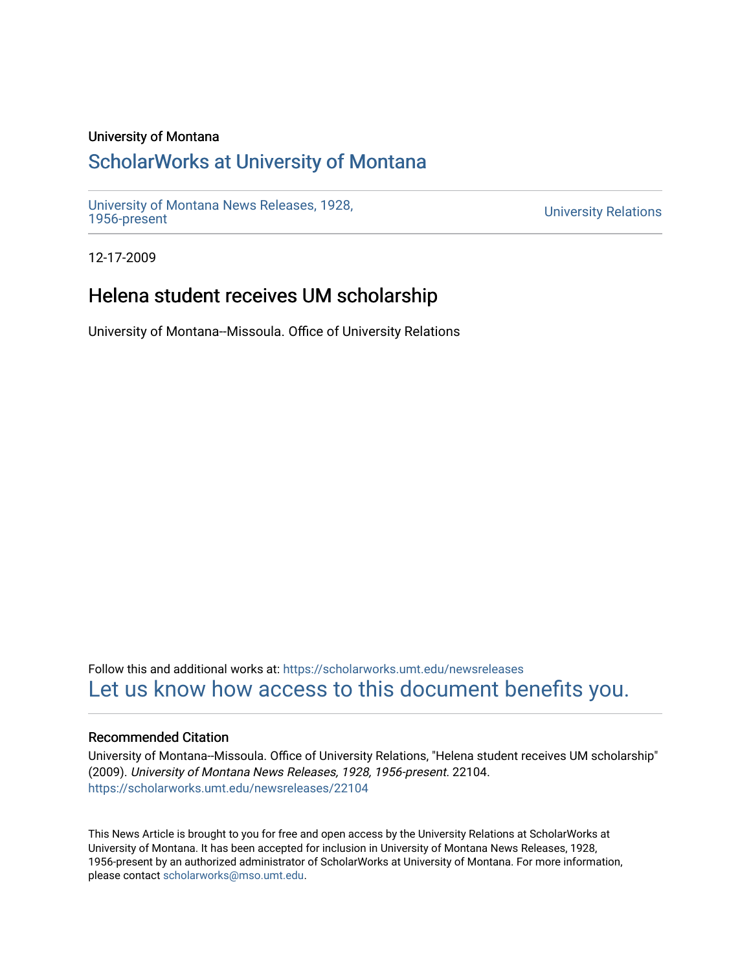#### University of Montana

## [ScholarWorks at University of Montana](https://scholarworks.umt.edu/)

[University of Montana News Releases, 1928,](https://scholarworks.umt.edu/newsreleases) 

**University Relations** 

12-17-2009

## Helena student receives UM scholarship

University of Montana--Missoula. Office of University Relations

Follow this and additional works at: [https://scholarworks.umt.edu/newsreleases](https://scholarworks.umt.edu/newsreleases?utm_source=scholarworks.umt.edu%2Fnewsreleases%2F22104&utm_medium=PDF&utm_campaign=PDFCoverPages) [Let us know how access to this document benefits you.](https://goo.gl/forms/s2rGfXOLzz71qgsB2) 

#### Recommended Citation

University of Montana--Missoula. Office of University Relations, "Helena student receives UM scholarship" (2009). University of Montana News Releases, 1928, 1956-present. 22104. [https://scholarworks.umt.edu/newsreleases/22104](https://scholarworks.umt.edu/newsreleases/22104?utm_source=scholarworks.umt.edu%2Fnewsreleases%2F22104&utm_medium=PDF&utm_campaign=PDFCoverPages) 

This News Article is brought to you for free and open access by the University Relations at ScholarWorks at University of Montana. It has been accepted for inclusion in University of Montana News Releases, 1928, 1956-present by an authorized administrator of ScholarWorks at University of Montana. For more information, please contact [scholarworks@mso.umt.edu.](mailto:scholarworks@mso.umt.edu)